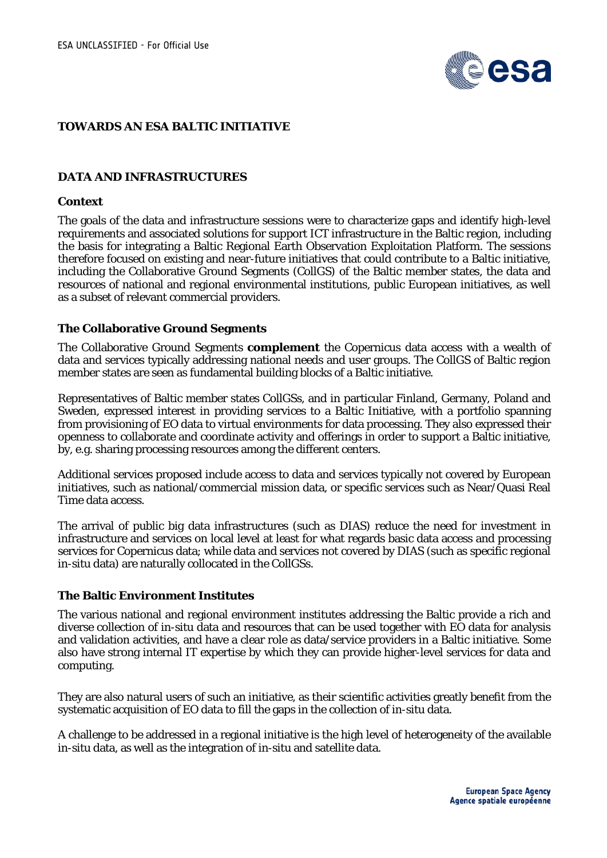

# **TOWARDS AN ESA BALTIC INITIATIVE**

# **DATA AND INFRASTRUCTURES**

#### **Context**

The goals of the data and infrastructure sessions were to characterize gaps and identify high-level requirements and associated solutions for support ICT infrastructure in the Baltic region, including the basis for integrating a Baltic Regional Earth Observation Exploitation Platform. The sessions therefore focused on existing and near-future initiatives that could contribute to a Baltic initiative, including the Collaborative Ground Segments (CollGS) of the Baltic member states, the data and resources of national and regional environmental institutions, public European initiatives, as well as a subset of relevant commercial providers.

### **The Collaborative Ground Segments**

The Collaborative Ground Segments **complement** the Copernicus data access with a wealth of data and services typically addressing national needs and user groups. The CollGS of Baltic region member states are seen as fundamental building blocks of a Baltic initiative.

Representatives of Baltic member states CollGSs, and in particular Finland, Germany, Poland and Sweden, expressed interest in providing services to a Baltic Initiative, with a portfolio spanning from provisioning of EO data to virtual environments for data processing. They also expressed their openness to collaborate and coordinate activity and offerings in order to support a Baltic initiative, by, e.g. sharing processing resources among the different centers.

Additional services proposed include access to data and services typically not covered by European initiatives, such as national/commercial mission data, or specific services such as Near/Quasi Real Time data access.

The arrival of public big data infrastructures (such as DIAS) reduce the need for investment in infrastructure and services on local level at least for what regards basic data access and processing services for Copernicus data; while data and services not covered by DIAS (such as specific regional in-situ data) are naturally collocated in the CollGSs.

### **The Baltic Environment Institutes**

The various national and regional environment institutes addressing the Baltic provide a rich and diverse collection of in-situ data and resources that can be used together with EO data for analysis and validation activities, and have a clear role as data/service providers in a Baltic initiative. Some also have strong internal IT expertise by which they can provide higher-level services for data and computing.

They are also natural users of such an initiative, as their scientific activities greatly benefit from the systematic acquisition of EO data to fill the gaps in the collection of in-situ data.

A challenge to be addressed in a regional initiative is the high level of heterogeneity of the available in-situ data, as well as the integration of in-situ and satellite data.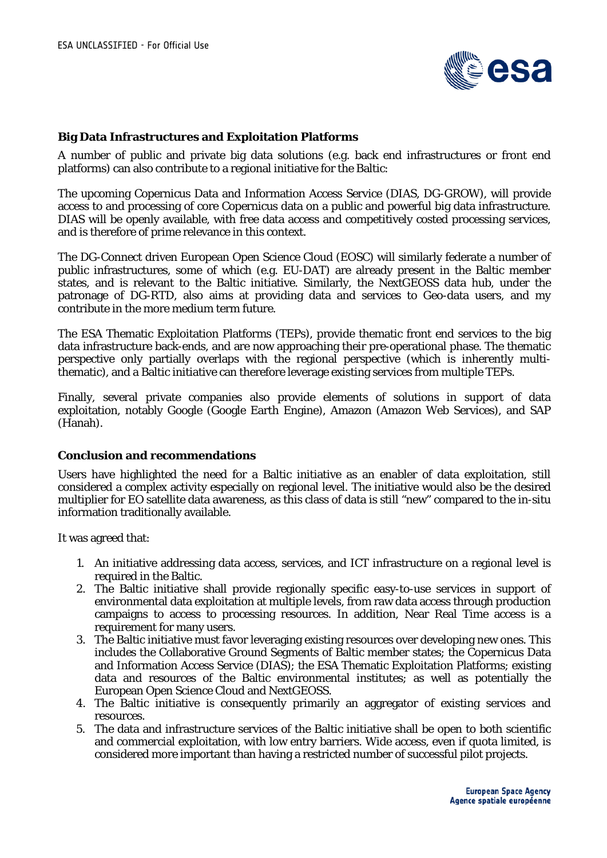

### **Big Data Infrastructures and Exploitation Platforms**

A number of public and private big data solutions (e.g. back end infrastructures or front end platforms) can also contribute to a regional initiative for the Baltic:

The upcoming Copernicus Data and Information Access Service (DIAS, DG-GROW), will provide access to and processing of core Copernicus data on a public and powerful big data infrastructure. DIAS will be openly available, with free data access and competitively costed processing services, and is therefore of prime relevance in this context.

The DG-Connect driven European Open Science Cloud (EOSC) will similarly federate a number of public infrastructures, some of which (e.g. EU-DAT) are already present in the Baltic member states, and is relevant to the Baltic initiative. Similarly, the NextGEOSS data hub, under the patronage of DG-RTD, also aims at providing data and services to Geo-data users, and my contribute in the more medium term future.

The ESA Thematic Exploitation Platforms (TEPs), provide thematic front end services to the big data infrastructure back-ends, and are now approaching their pre-operational phase. The thematic perspective only partially overlaps with the regional perspective (which is inherently multithematic), and a Baltic initiative can therefore leverage existing services from multiple TEPs.

Finally, several private companies also provide elements of solutions in support of data exploitation, notably Google (Google Earth Engine), Amazon (Amazon Web Services), and SAP (Hanah).

### **Conclusion and recommendations**

Users have highlighted the need for a Baltic initiative as an enabler of data exploitation, still considered a complex activity especially on regional level. The initiative would also be the desired multiplier for EO satellite data awareness, as this class of data is still "new" compared to the in-situ information traditionally available.

It was agreed that:

- 1. An initiative addressing data access, services, and ICT infrastructure on a regional level is required in the Baltic.
- 2. The Baltic initiative shall provide regionally specific easy-to-use services in support of environmental data exploitation at multiple levels, from raw data access through production campaigns to access to processing resources. In addition, Near Real Time access is a requirement for many users.
- 3. The Baltic initiative must favor leveraging existing resources over developing new ones. This includes the Collaborative Ground Segments of Baltic member states; the Copernicus Data and Information Access Service (DIAS); the ESA Thematic Exploitation Platforms; existing data and resources of the Baltic environmental institutes; as well as potentially the European Open Science Cloud and NextGEOSS.
- 4. The Baltic initiative is consequently primarily an aggregator of existing services and resources.
- 5. The data and infrastructure services of the Baltic initiative shall be open to both scientific and commercial exploitation, with low entry barriers. Wide access, even if quota limited, is considered more important than having a restricted number of successful pilot projects.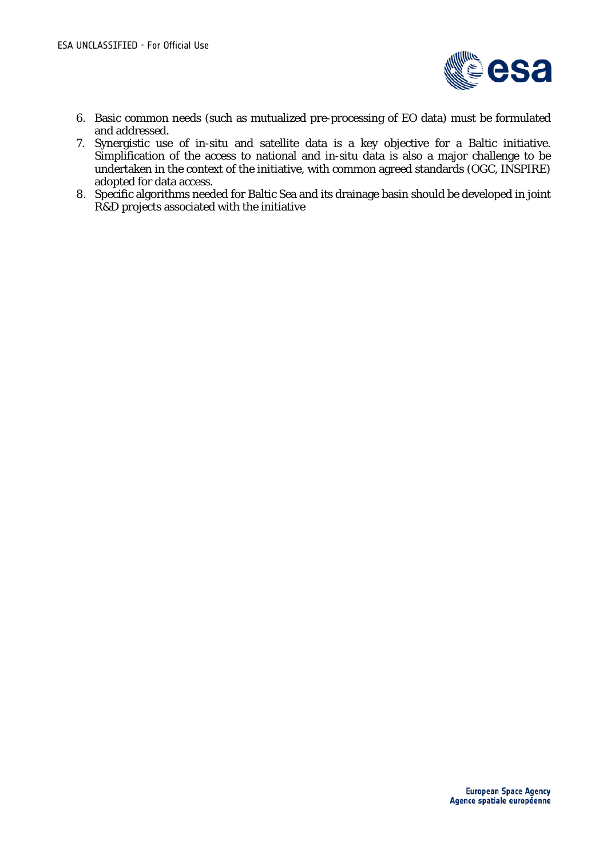

- 6. Basic common needs (such as mutualized pre-processing of EO data) must be formulated and addressed.
- 7. Synergistic use of in-situ and satellite data is a key objective for a Baltic initiative. Simplification of the access to national and in-situ data is also a major challenge to be undertaken in the context of the initiative, with common agreed standards (OGC, INSPIRE) adopted for data access.
- 8. Specific algorithms needed for Baltic Sea and its drainage basin should be developed in joint R&D projects associated with the initiative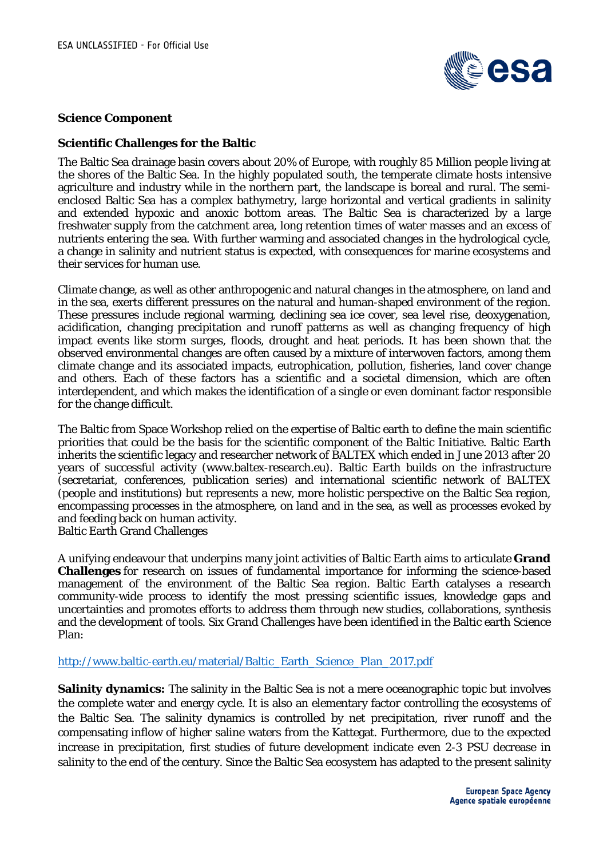

### **Science Component**

### **Scientific Challenges for the Baltic**

The Baltic Sea drainage basin covers about 20% of Europe, with roughly 85 Million people living at the shores of the Baltic Sea. In the highly populated south, the temperate climate hosts intensive agriculture and industry while in the northern part, the landscape is boreal and rural. The semienclosed Baltic Sea has a complex bathymetry, large horizontal and vertical gradients in salinity and extended hypoxic and anoxic bottom areas. The Baltic Sea is characterized by a large freshwater supply from the catchment area, long retention times of water masses and an excess of nutrients entering the sea. With further warming and associated changes in the hydrological cycle, a change in salinity and nutrient status is expected, with consequences for marine ecosystems and their services for human use.

Climate change, as well as other anthropogenic and natural changes in the atmosphere, on land and in the sea, exerts different pressures on the natural and human-shaped environment of the region. These pressures include regional warming, declining sea ice cover, sea level rise, deoxygenation, acidification, changing precipitation and runoff patterns as well as changing frequency of high impact events like storm surges, floods, drought and heat periods. It has been shown that the observed environmental changes are often caused by a mixture of interwoven factors, among them climate change and its associated impacts, eutrophication, pollution, fisheries, land cover change and others. Each of these factors has a scientific and a societal dimension, which are often interdependent, and which makes the identification of a single or even dominant factor responsible for the change difficult.

The Baltic from Space Workshop relied on the expertise of Baltic earth to define the main scientific priorities that could be the basis for the scientific component of the Baltic Initiative. Baltic Earth inherits the scientific legacy and researcher network of BALTEX which ended in June 2013 after 20 years of successful activity (www.baltex-research.eu). Baltic Earth builds on the infrastructure (secretariat, conferences, publication series) and international scientific network of BALTEX (people and institutions) but represents a new, more holistic perspective on the Baltic Sea region, encompassing processes in the atmosphere, on land and in the sea, as well as processes evoked by and feeding back on human activity.

Baltic Earth Grand Challenges

A unifying endeavour that underpins many joint activities of Baltic Earth aims to articulate **[Grand](http://www.baltic-earth.eu/begc.html)  [Challenges](http://www.baltic-earth.eu/begc.html)** for research on issues of fundamental importance for informing the science-based management of the environment of the Baltic Sea region. Baltic Earth catalyses a research community-wide process to identify the most pressing scientific issues, knowledge gaps and uncertainties and promotes efforts to address them through new studies, collaborations, synthesis and the development of tools. Six Grand Challenges have been identified in the Baltic earth Science Plan:

### [http://www.baltic-earth.eu/material/Baltic\\_Earth\\_Science\\_Plan\\_2017.pdf](http://www.baltic-earth.eu/material/Baltic_Earth_Science_Plan_2017.pdf)

**Salinity dynamics:** The salinity in the Baltic Sea is not a mere oceanographic topic but involves the complete water and energy cycle. It is also an elementary factor controlling the ecosystems of the Baltic Sea. The salinity dynamics is controlled by net precipitation, river runoff and the compensating inflow of higher saline waters from the Kattegat. Furthermore, due to the expected increase in precipitation, first studies of future development indicate even 2-3 PSU decrease in salinity to the end of the century. Since the Baltic Sea ecosystem has adapted to the present salinity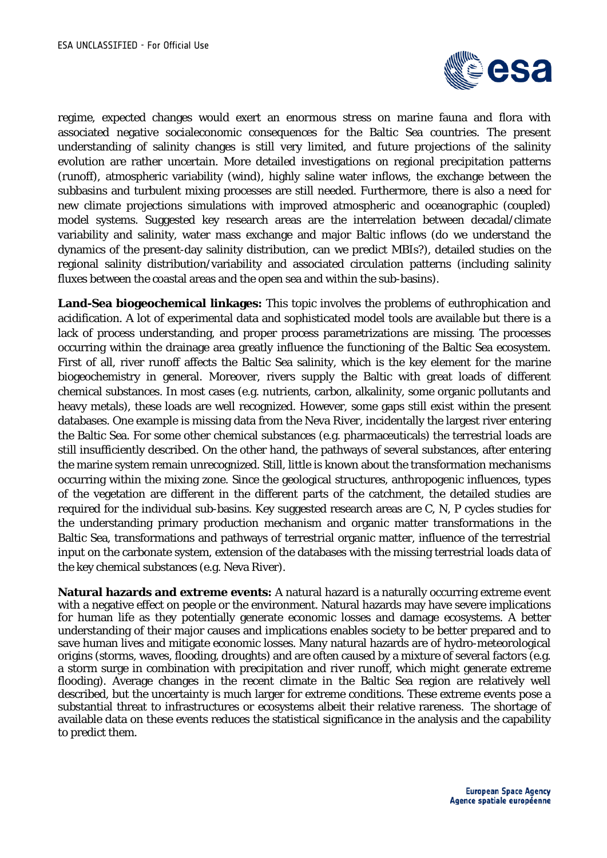

regime, expected changes would exert an enormous stress on marine fauna and flora with associated negative socialeconomic consequences for the Baltic Sea countries. The present understanding of salinity changes is still very limited, and future projections of the salinity evolution are rather uncertain. More detailed investigations on regional precipitation patterns (runoff), atmospheric variability (wind), highly saline water inflows, the exchange between the subbasins and turbulent mixing processes are still needed. Furthermore, there is also a need for new climate projections simulations with improved atmospheric and oceanographic (coupled) model systems. Suggested key research areas are the interrelation between decadal/climate variability and salinity, water mass exchange and major Baltic inflows (do we understand the dynamics of the present-day salinity distribution, can we predict MBIs?), detailed studies on the regional salinity distribution/variability and associated circulation patterns (including salinity fluxes between the coastal areas and the open sea and within the sub-basins).

**Land-Sea biogeochemical linkages:** This topic involves the problems of euthrophication and acidification. A lot of experimental data and sophisticated model tools are available but there is a lack of process understanding, and proper process parametrizations are missing. The processes occurring within the drainage area greatly influence the functioning of the Baltic Sea ecosystem. First of all, river runoff affects the Baltic Sea salinity, which is the key element for the marine biogeochemistry in general. Moreover, rivers supply the Baltic with great loads of different chemical substances. In most cases (e.g. nutrients, carbon, alkalinity, some organic pollutants and heavy metals), these loads are well recognized. However, some gaps still exist within the present databases. One example is missing data from the Neva River, incidentally the largest river entering the Baltic Sea. For some other chemical substances (e.g. pharmaceuticals) the terrestrial loads are still insufficiently described. On the other hand, the pathways of several substances, after entering the marine system remain unrecognized. Still, little is known about the transformation mechanisms occurring within the mixing zone. Since the geological structures, anthropogenic influences, types of the vegetation are different in the different parts of the catchment, the detailed studies are required for the individual sub-basins. Key suggested research areas are C, N, P cycles studies for the understanding primary production mechanism and organic matter transformations in the Baltic Sea, transformations and pathways of terrestrial organic matter, influence of the terrestrial input on the carbonate system, extension of the databases with the missing terrestrial loads data of the key chemical substances (e.g. Neva River).

**Natural hazards and extreme events:** A natural hazard is a naturally occurring extreme event with a negative effect on people or the environment. Natural hazards may have severe implications for human life as they potentially generate economic losses and damage ecosystems. A better understanding of their major causes and implications enables society to be better prepared and to save human lives and mitigate economic losses. Many natural hazards are of hydro-meteorological origins (storms, waves, flooding, droughts) and are often caused by a mixture of several factors (e.g. a storm surge in combination with precipitation and river runoff, which might generate extreme flooding). Average changes in the recent climate in the Baltic Sea region are relatively well described, but the uncertainty is much larger for extreme conditions. These extreme events pose a substantial threat to infrastructures or ecosystems albeit their relative rareness. The shortage of available data on these events reduces the statistical significance in the analysis and the capability to predict them.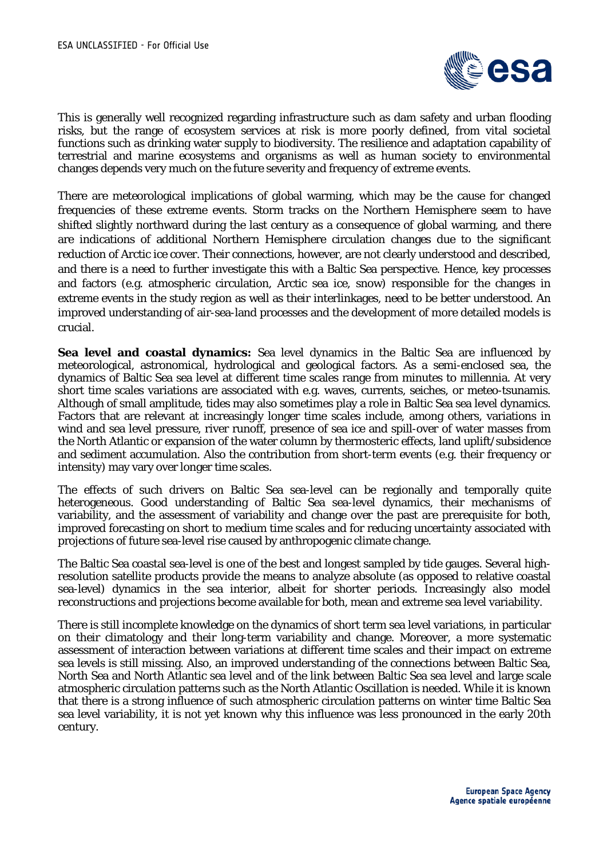

This is generally well recognized regarding infrastructure such as dam safety and urban flooding risks, but the range of ecosystem services at risk is more poorly defined, from vital societal functions such as drinking water supply to biodiversity. The resilience and adaptation capability of terrestrial and marine ecosystems and organisms as well as human society to environmental changes depends very much on the future severity and frequency of extreme events.

There are meteorological implications of global warming, which may be the cause for changed frequencies of these extreme events. Storm tracks on the Northern Hemisphere seem to have shifted slightly northward during the last century as a consequence of global warming, and there are indications of additional Northern Hemisphere circulation changes due to the significant reduction of Arctic ice cover. Their connections, however, are not clearly understood and described, and there is a need to further investigate this with a Baltic Sea perspective. Hence, key processes and factors (e.g. atmospheric circulation, Arctic sea ice, snow) responsible for the changes in extreme events in the study region as well as their interlinkages, need to be better understood. An improved understanding of air-sea-land processes and the development of more detailed models is crucial.

**Sea level and coastal dynamics:** Sea level dynamics in the Baltic Sea are influenced by meteorological, astronomical, hydrological and geological factors. As a semi-enclosed sea, the dynamics of Baltic Sea sea level at different time scales range from minutes to millennia. At very short time scales variations are associated with e.g. waves, currents, seiches, or meteo-tsunamis. Although of small amplitude, tides may also sometimes play a role in Baltic Sea sea level dynamics. Factors that are relevant at increasingly longer time scales include, among others, variations in wind and sea level pressure, river runoff, presence of sea ice and spill-over of water masses from the North Atlantic or expansion of the water column by thermosteric effects, land uplift/subsidence and sediment accumulation. Also the contribution from short-term events (e.g. their frequency or intensity) may vary over longer time scales.

The effects of such drivers on Baltic Sea sea-level can be regionally and temporally quite heterogeneous. Good understanding of Baltic Sea sea-level dynamics, their mechanisms of variability, and the assessment of variability and change over the past are prerequisite for both, improved forecasting on short to medium time scales and for reducing uncertainty associated with projections of future sea-level rise caused by anthropogenic climate change.

The Baltic Sea coastal sea-level is one of the best and longest sampled by tide gauges. Several highresolution satellite products provide the means to analyze absolute (as opposed to relative coastal sea-level) dynamics in the sea interior, albeit for shorter periods. Increasingly also model reconstructions and projections become available for both, mean and extreme sea level variability.

There is still incomplete knowledge on the dynamics of short term sea level variations, in particular on their climatology and their long-term variability and change. Moreover, a more systematic assessment of interaction between variations at different time scales and their impact on extreme sea levels is still missing. Also, an improved understanding of the connections between Baltic Sea, North Sea and North Atlantic sea level and of the link between Baltic Sea sea level and large scale atmospheric circulation patterns such as the North Atlantic Oscillation is needed. While it is known that there is a strong influence of such atmospheric circulation patterns on winter time Baltic Sea sea level variability, it is not yet known why this influence was less pronounced in the early 20th century.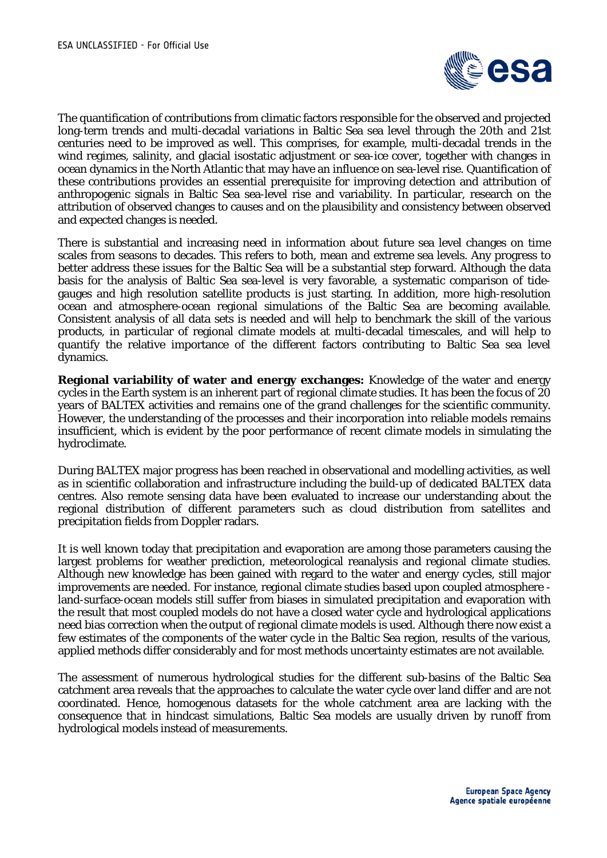

The quantification of contributions from climatic factors responsible for the observed and projected long-term trends and multi-decadal variations in Baltic Sea sea level through the 20th and 21st centuries need to be improved as well. This comprises, for example, multi-decadal trends in the wind regimes, salinity, and glacial isostatic adjustment or sea-ice cover, together with changes in ocean dynamics in the North Atlantic that may have an influence on sea-level rise. Quantification of these contributions provides an essential prerequisite for improving detection and attribution of anthropogenic signals in Baltic Sea sea-level rise and variability. In particular, research on the attribution of observed changes to causes and on the plausibility and consistency between observed and expected changes is needed.

There is substantial and increasing need in information about future sea level changes on time scales from seasons to decades. This refers to both, mean and extreme sea levels. Any progress to better address these issues for the Baltic Sea will be a substantial step forward. Although the data basis for the analysis of Baltic Sea sea-level is very favorable, a systematic comparison of tidegauges and high resolution satellite products is just starting. In addition, more high-resolution ocean and atmosphere-ocean regional simulations of the Baltic Sea are becoming available. Consistent analysis of all data sets is needed and will help to benchmark the skill of the various products, in particular of regional climate models at multi-decadal timescales, and will help to quantify the relative importance of the different factors contributing to Baltic Sea sea level dynamics.

**Regional variability of water and energy exchanges:** Knowledge of the water and energy cycles in the Earth system is an inherent part of regional climate studies. It has been the focus of 20 years of BALTEX activities and remains one of the grand challenges for the scientific community. However, the understanding of the processes and their incorporation into reliable models remains insufficient, which is evident by the poor performance of recent climate models in simulating the hydroclimate.

During BALTEX major progress has been reached in observational and modelling activities, as well as in scientific collaboration and infrastructure including the build-up of dedicated BALTEX data centres. Also remote sensing data have been evaluated to increase our understanding about the regional distribution of different parameters such as cloud distribution from satellites and precipitation fields from Doppler radars.

It is well known today that precipitation and evaporation are among those parameters causing the largest problems for weather prediction, meteorological reanalysis and regional climate studies. Although new knowledge has been gained with regard to the water and energy cycles, still major improvements are needed. For instance, regional climate studies based upon coupled atmosphere land-surface-ocean models still suffer from biases in simulated precipitation and evaporation with the result that most coupled models do not have a closed water cycle and hydrological applications need bias correction when the output of regional climate models is used. Although there now exist a few estimates of the components of the water cycle in the Baltic Sea region, results of the various, applied methods differ considerably and for most methods uncertainty estimates are not available.

The assessment of numerous hydrological studies for the different sub-basins of the Baltic Sea catchment area reveals that the approaches to calculate the water cycle over land differ and are not coordinated. Hence, homogenous datasets for the whole catchment area are lacking with the consequence that in hindcast simulations, Baltic Sea models are usually driven by runoff from hydrological models instead of measurements.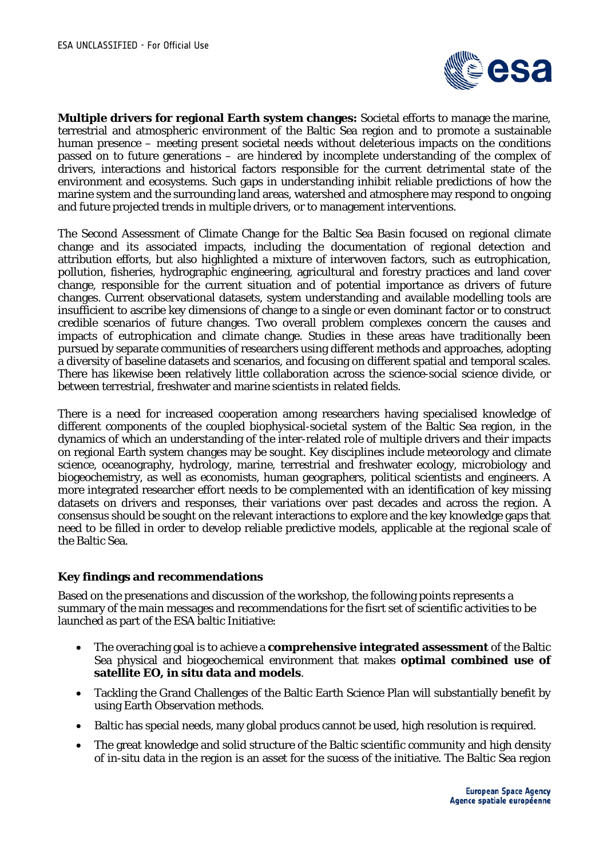

**Multiple drivers for regional Earth system changes:** Societal efforts to manage the marine, terrestrial and atmospheric environment of the Baltic Sea region and to promote a sustainable human presence – meeting present societal needs without deleterious impacts on the conditions passed on to future generations – are hindered by incomplete understanding of the complex of drivers, interactions and historical factors responsible for the current detrimental state of the environment and ecosystems. Such gaps in understanding inhibit reliable predictions of how the marine system and the surrounding land areas, watershed and atmosphere may respond to ongoing and future projected trends in multiple drivers, or to management interventions.

The Second Assessment of Climate Change for the Baltic Sea Basin focused on regional climate change and its associated impacts, including the documentation of regional detection and attribution efforts, but also highlighted a mixture of interwoven factors, such as eutrophication, pollution, fisheries, hydrographic engineering, agricultural and forestry practices and land cover change, responsible for the current situation and of potential importance as drivers of future changes. Current observational datasets, system understanding and available modelling tools are insufficient to ascribe key dimensions of change to a single or even dominant factor or to construct credible scenarios of future changes. Two overall problem complexes concern the causes and impacts of eutrophication and climate change. Studies in these areas have traditionally been pursued by separate communities of researchers using different methods and approaches, adopting a diversity of baseline datasets and scenarios, and focusing on different spatial and temporal scales. There has likewise been relatively little collaboration across the science-social science divide, or between terrestrial, freshwater and marine scientists in related fields.

There is a need for increased cooperation among researchers having specialised knowledge of different components of the coupled biophysical-societal system of the Baltic Sea region, in the dynamics of which an understanding of the inter-related role of multiple drivers and their impacts on regional Earth system changes may be sought. Key disciplines include meteorology and climate science, oceanography, hydrology, marine, terrestrial and freshwater ecology, microbiology and biogeochemistry, as well as economists, human geographers, political scientists and engineers. A more integrated researcher effort needs to be complemented with an identification of key missing datasets on drivers and responses, their variations over past decades and across the region. A consensus should be sought on the relevant interactions to explore and the key knowledge gaps that need to be filled in order to develop reliable predictive models, applicable at the regional scale of the Baltic Sea.

### **Key findings and recommendations**

Based on the presenations and discussion of the workshop, the following points represents a summary of the main messages and recommendations for the fisrt set of scientific activities to be launched as part of the ESA baltic Initiative:

- The overaching goal is to achieve a **comprehensive integrated assessment** of the Baltic Sea physical and biogeochemical environment that makes **optimal combined use of satellite EO, in situ data and models**.
- Tackling the Grand Challenges of the Baltic Earth Science Plan will substantially benefit by using Earth Observation methods.
- Baltic has special needs, many global producs cannot be used, high resolution is required.
- The great knowledge and solid structure of the Baltic scientific community and high density of in-situ data in the region is an asset for the sucess of the initiative. The Baltic Sea region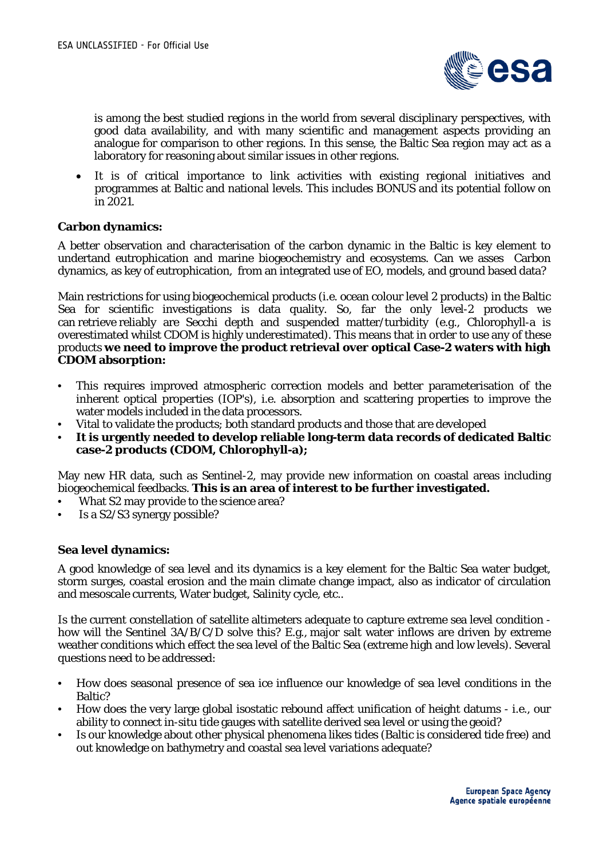

is among the best studied regions in the world from several disciplinary perspectives, with good data availability, and with many scientific and management aspects providing an analogue for comparison to other regions. In this sense, the Baltic Sea region may act as a laboratory for reasoning about similar issues in other regions.

• It is of critical importance to link activities with existing regional initiatives and programmes at Baltic and national levels. This includes BONUS and its potential follow on in 2021.

### **Carbon dynamics:**

A better observation and characterisation of the carbon dynamic in the Baltic is key element to undertand eutrophication and marine biogeochemistry and ecosystems. Can we asses Carbon dynamics, as key of eutrophication, from an integrated use of EO, models, and ground based data?

Main restrictions for using biogeochemical products (i.e. ocean colour level 2 products) in the Baltic Sea for scientific investigations is data quality. So, far the only level-2 products we can retrieve reliably are Secchi depth and suspended matter/turbidity (e.g., Chlorophyll-a is overestimated whilst CDOM is highly underestimated). This means that in order to use any of these products **we need to improve the product retrieval over optical Case-2 waters with high CDOM absorption:**

- This requires improved atmospheric correction models and better parameterisation of the inherent optical properties (IOP's), i.e. absorption and scattering properties to improve the water models included in the data processors.
- Vital to validate the products; both standard products and those that are developed
- **It is urgently needed to develop reliable long-term data records of dedicated Baltic case-2 products (CDOM, Chlorophyll-a);**

May new HR data, such as Sentinel-2, may provide new information on coastal areas including biogeochemical feedbacks. **This is an area of interest to be further investigated.**

- What S2 may provide to the science area?
- Is a S2/S3 synergy possible?

# **Sea level dynamics:**

A good knowledge of sea level and its dynamics is a key element for the Baltic Sea water budget, storm surges, coastal erosion and the main climate change impact, also as indicator of circulation and mesoscale currents, Water budget, Salinity cycle, etc..

Is the current constellation of satellite altimeters adequate to capture extreme sea level condition how will the Sentinel 3A/B/C/D solve this? E.g., major salt water inflows are driven by extreme weather conditions which effect the sea level of the Baltic Sea (extreme high and low levels). Several questions need to be addressed:

- How does seasonal presence of sea ice influence our knowledge of sea level conditions in the Baltic?
- How does the very large global isostatic rebound affect unification of height datums i.e., our ability to connect in-situ tide gauges with satellite derived sea level or using the geoid?
- Is our knowledge about other physical phenomena likes tides (Baltic is considered tide free) and out knowledge on bathymetry and coastal sea level variations adequate?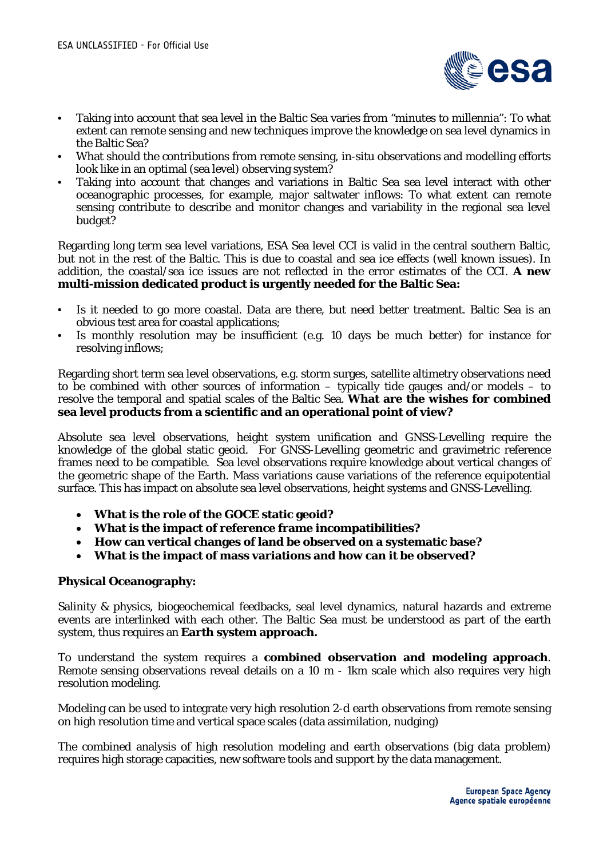

- Taking into account that sea level in the Baltic Sea varies from "minutes to millennia": To what extent can remote sensing and new techniques improve the knowledge on sea level dynamics in the Baltic Sea?
- What should the contributions from remote sensing, in-situ observations and modelling efforts look like in an optimal (sea level) observing system?
- Taking into account that changes and variations in Baltic Sea sea level interact with other oceanographic processes, for example, major saltwater inflows: To what extent can remote sensing contribute to describe and monitor changes and variability in the regional sea level budget?

Regarding long term sea level variations, ESA Sea level CCI is valid in the central southern Baltic, but not in the rest of the Baltic. This is due to coastal and sea ice effects (well known issues). In addition, the coastal/sea ice issues are not reflected in the error estimates of the CCI. **A new multi-mission dedicated product is urgently needed for the Baltic Sea:**

- Is it needed to go more coastal. Data are there, but need better treatment. Baltic Sea is an obvious test area for coastal applications;
- Is monthly resolution may be insufficient (e.g. 10 days be much better) for instance for resolving inflows;

Regarding short term sea level observations, e.g. storm surges, satellite altimetry observations need to be combined with other sources of information – typically tide gauges and/or models – to resolve the temporal and spatial scales of the Baltic Sea. **What are the wishes for combined sea level products from a scientific and an operational point of view?**

Absolute sea level observations, height system unification and GNSS-Levelling require the knowledge of the global static geoid. For GNSS-Levelling geometric and gravimetric reference frames need to be compatible. Sea level observations require knowledge about vertical changes of the geometric shape of the Earth. Mass variations cause variations of the reference equipotential surface. This has impact on absolute sea level observations, height systems and GNSS-Levelling.

- **What is the role of the GOCE static geoid?**
- **What is the impact of reference frame incompatibilities?**
- **How can vertical changes of land be observed on a systematic base?**
- **What is the impact of mass variations and how can it be observed?**

# **Physical Oceanography:**

Salinity & physics, biogeochemical feedbacks, seal level dynamics, natural hazards and extreme events are interlinked with each other. The Baltic Sea must be understood as part of the earth system, thus requires an **Earth system approach.**

To understand the system requires a **combined observation and modeling approach**. Remote sensing observations reveal details on a 10 m - 1km scale which also requires very high resolution modeling.

Modeling can be used to integrate very high resolution 2-d earth observations from remote sensing on high resolution time and vertical space scales (data assimilation, nudging)

The combined analysis of high resolution modeling and earth observations (big data problem) requires high storage capacities, new software tools and support by the data management.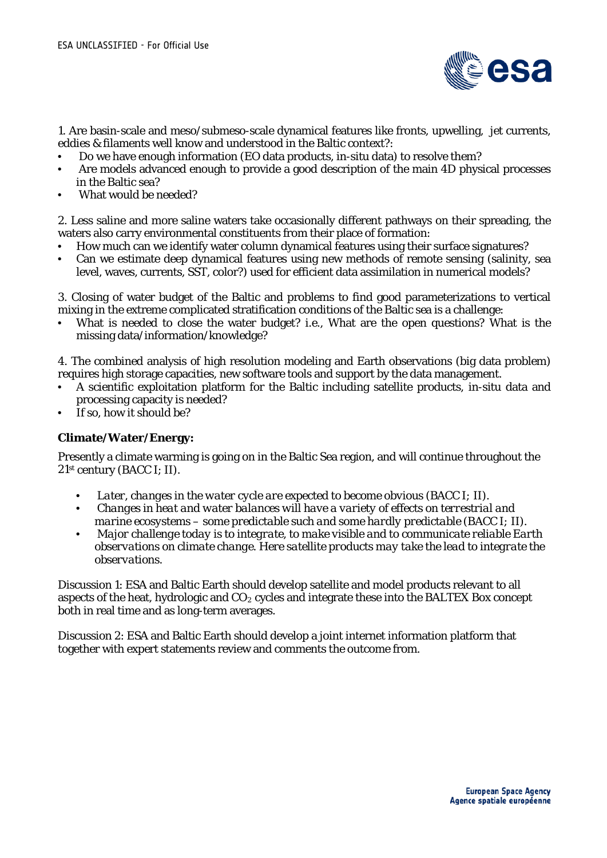

1. Are basin-scale and meso/submeso-scale dynamical features like fronts, upwelling, jet currents, eddies & filaments well know and understood in the Baltic context?:

- Do we have enough information (EO data products, in-situ data) to resolve them?
- Are models advanced enough to provide a good description of the main 4D physical processes in the Baltic sea?
- What would be needed?

2. Less saline and more saline waters take occasionally different pathways on their spreading, the waters also carry environmental constituents from their place of formation:

- How much can we identify water column dynamical features using their surface signatures?
- Can we estimate deep dynamical features using new methods of remote sensing (salinity, sea level, waves, currents, SST, color?) used for efficient data assimilation in numerical models?

3. Closing of water budget of the Baltic and problems to find good parameterizations to vertical mixing in the extreme complicated stratification conditions of the Baltic sea is a challenge:

What is needed to close the water budget? i.e., What are the open questions? What is the missing data/information/knowledge?

4. The combined analysis of high resolution modeling and Earth observations (big data problem) requires high storage capacities, new software tools and support by the data management.

- A scientific exploitation platform for the Baltic including satellite products, in-situ data and processing capacity is needed?
- If so, how it should be?

# **Climate/Water/Energy:**

Presently a climate warming is going on in the Baltic Sea region, and will continue throughout the 21st century (BACC I; II).

- *Later, changes in the water cycle are expected to become obvious (BACC I; II).*
- *Changes in heat and water balances will have a variety of effects on terrestrial and marine ecosystems – some predictable such and some hardly predictable (BACC I; II).*
- *Major challenge today is to integrate, to make visible and to communicate reliable Earth observations on climate change. Here satellite products may take the lead to integrate the observations.*

Discussion 1: ESA and Baltic Earth should develop satellite and model products relevant to all aspects of the heat, hydrologic and  $CO<sub>2</sub>$  cycles and integrate these into the BALTEX Box concept both in real time and as long-term averages.

Discussion 2: ESA and Baltic Earth should develop a joint internet information platform that together with expert statements review and comments the outcome from.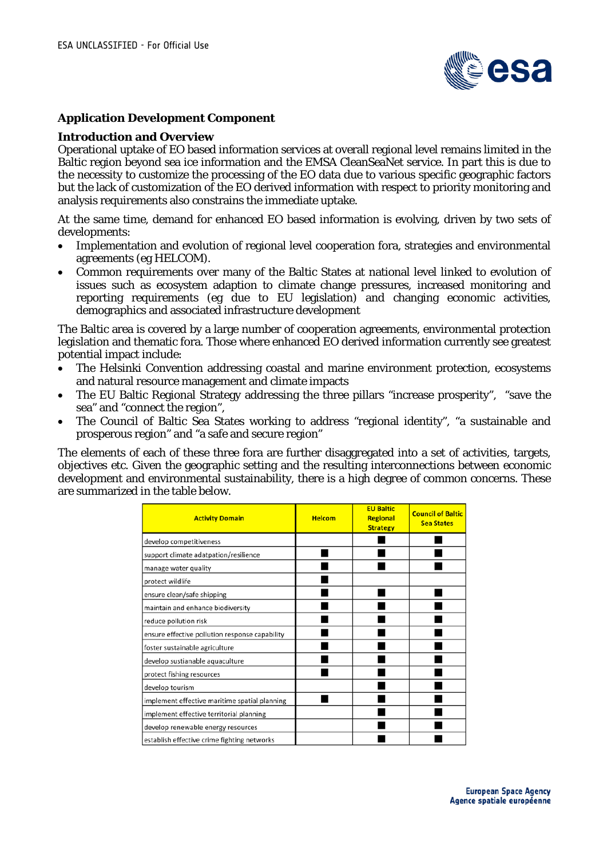

### **Application Development Component**

#### **Introduction and Overview**

Operational uptake of EO based information services at overall regional level remains limited in the Baltic region beyond sea ice information and the EMSA CleanSeaNet service. In part this is due to the necessity to customize the processing of the EO data due to various specific geographic factors but the lack of customization of the EO derived information with respect to priority monitoring and analysis requirements also constrains the immediate uptake.

At the same time, demand for enhanced EO based information is evolving, driven by two sets of developments:

- Implementation and evolution of regional level cooperation fora, strategies and environmental agreements (eg HELCOM).
- Common requirements over many of the Baltic States at national level linked to evolution of issues such as ecosystem adaption to climate change pressures, increased monitoring and reporting requirements (eg due to EU legislation) and changing economic activities, demographics and associated infrastructure development

The Baltic area is covered by a large number of cooperation agreements, environmental protection legislation and thematic fora. Those where enhanced EO derived information currently see greatest potential impact include:

- The Helsinki Convention addressing coastal and marine environment protection, ecosystems and natural resource management and climate impacts
- The EU Baltic Regional Strategy addressing the three pillars "increase prosperity", "save the sea" and "connect the region",
- The Council of Baltic Sea States working to address "regional identity", "a sustainable and prosperous region" and "a safe and secure region"

The elements of each of these three fora are further disaggregated into a set of activities, targets, objectives etc. Given the geographic setting and the resulting interconnections between economic development and environmental sustainability, there is a high degree of common concerns. These are summarized in the table below.

| <b>Activity Domain</b>                         | <b>Helcom</b> | <b>EU Baltic</b><br><b>Regional</b><br><b>Strategy</b> | <b>Council of Baltic</b><br><b>Sea States</b> |
|------------------------------------------------|---------------|--------------------------------------------------------|-----------------------------------------------|
| develop competitiveness                        |               |                                                        |                                               |
| support climate adatpation/resilience          |               |                                                        |                                               |
| manage water quality                           |               |                                                        |                                               |
| protect wildlife                               |               |                                                        |                                               |
| ensure clean/safe shipping                     |               |                                                        |                                               |
| maintain and enhance biodiversity              |               |                                                        |                                               |
| reduce pollution risk                          |               |                                                        |                                               |
| ensure effective pollution response capability |               |                                                        |                                               |
| foster sustainable agriculture                 |               |                                                        |                                               |
| develop sustianable aquaculture                |               |                                                        |                                               |
| protect fishing resources                      |               |                                                        |                                               |
| develop tourism                                |               |                                                        |                                               |
| implement effective maritime spatial planning  |               |                                                        |                                               |
| implement effective territorial planning       |               |                                                        |                                               |
| develop renewable energy resources             |               |                                                        |                                               |
| establish effective crime fighting networks    |               |                                                        |                                               |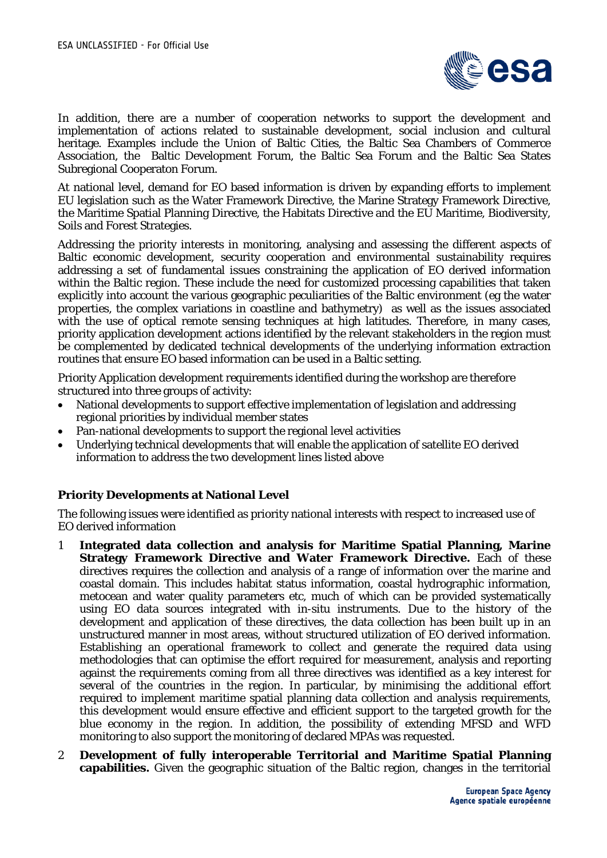

In addition, there are a number of cooperation networks to support the development and implementation of actions related to sustainable development, social inclusion and cultural heritage. Examples include the Union of Baltic Cities, the Baltic Sea Chambers of Commerce Association, the Baltic Development Forum, the Baltic Sea Forum and the Baltic Sea States Subregional Cooperaton Forum.

At national level, demand for EO based information is driven by expanding efforts to implement EU legislation such as the Water Framework Directive, the Marine Strategy Framework Directive, the Maritime Spatial Planning Directive, the Habitats Directive and the EU Maritime, Biodiversity, Soils and Forest Strategies.

Addressing the priority interests in monitoring, analysing and assessing the different aspects of Baltic economic development, security cooperation and environmental sustainability requires addressing a set of fundamental issues constraining the application of EO derived information within the Baltic region. These include the need for customized processing capabilities that taken explicitly into account the various geographic peculiarities of the Baltic environment (eg the water properties, the complex variations in coastline and bathymetry) as well as the issues associated with the use of optical remote sensing techniques at high latitudes. Therefore, in many cases, priority application development actions identified by the relevant stakeholders in the region must be complemented by dedicated technical developments of the underlying information extraction routines that ensure EO based information can be used in a Baltic setting.

Priority Application development requirements identified during the workshop are therefore structured into three groups of activity:

- National developments to support effective implementation of legislation and addressing regional priorities by individual member states
- Pan-national developments to support the regional level activities
- Underlying technical developments that will enable the application of satellite EO derived information to address the two development lines listed above

# **Priority Developments at National Level**

The following issues were identified as priority national interests with respect to increased use of EO derived information

- 1 **Integrated data collection and analysis for Maritime Spatial Planning, Marine Strategy Framework Directive and Water Framework Directive.** Each of these directives requires the collection and analysis of a range of information over the marine and coastal domain. This includes habitat status information, coastal hydrographic information, metocean and water quality parameters etc, much of which can be provided systematically using EO data sources integrated with in-situ instruments. Due to the history of the development and application of these directives, the data collection has been built up in an unstructured manner in most areas, without structured utilization of EO derived information. Establishing an operational framework to collect and generate the required data using methodologies that can optimise the effort required for measurement, analysis and reporting against the requirements coming from all three directives was identified as a key interest for several of the countries in the region. In particular, by minimising the additional effort required to implement maritime spatial planning data collection and analysis requirements, this development would ensure effective and efficient support to the targeted growth for the blue economy in the region. In addition, the possibility of extending MFSD and WFD monitoring to also support the monitoring of declared MPAs was requested.
- 2 **Development of fully interoperable Territorial and Maritime Spatial Planning capabilities.** Given the geographic situation of the Baltic region, changes in the territorial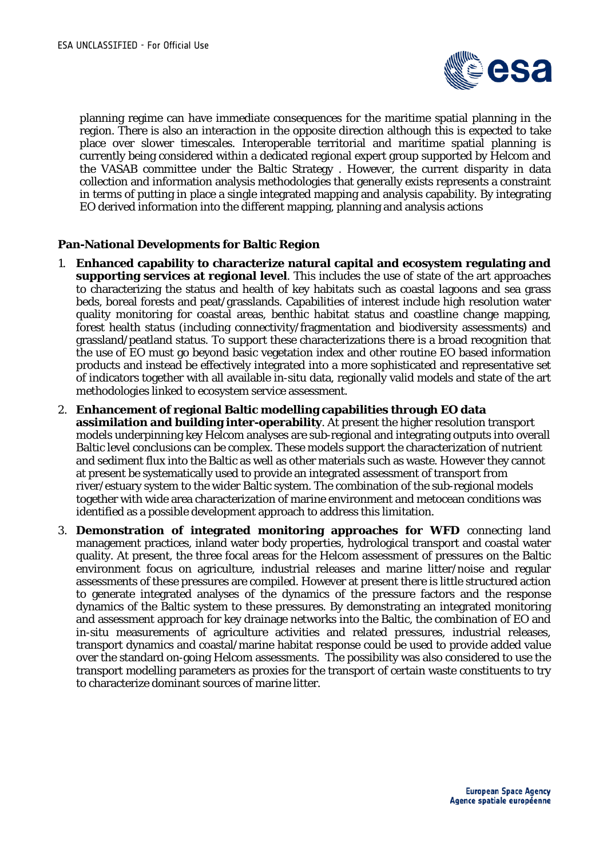

planning regime can have immediate consequences for the maritime spatial planning in the region. There is also an interaction in the opposite direction although this is expected to take place over slower timescales. Interoperable territorial and maritime spatial planning is currently being considered within a dedicated regional expert group supported by Helcom and the VASAB committee under the Baltic Strategy . However, the current disparity in data collection and information analysis methodologies that generally exists represents a constraint in terms of putting in place a single integrated mapping and analysis capability. By integrating EO derived information into the different mapping, planning and analysis actions

### **Pan-National Developments for Baltic Region**

- 1. **Enhanced capability to characterize natural capital and ecosystem regulating and supporting services at regional level**. This includes the use of state of the art approaches to characterizing the status and health of key habitats such as coastal lagoons and sea grass beds, boreal forests and peat/grasslands. Capabilities of interest include high resolution water quality monitoring for coastal areas, benthic habitat status and coastline change mapping, forest health status (including connectivity/fragmentation and biodiversity assessments) and grassland/peatland status. To support these characterizations there is a broad recognition that the use of EO must go beyond basic vegetation index and other routine EO based information products and instead be effectively integrated into a more sophisticated and representative set of indicators together with all available in-situ data, regionally valid models and state of the art methodologies linked to ecosystem service assessment.
- 2. **Enhancement of regional Baltic modelling capabilities through EO data assimilation and building inter-operability**. At present the higher resolution transport models underpinning key Helcom analyses are sub-regional and integrating outputs into overall Baltic level conclusions can be complex. These models support the characterization of nutrient and sediment flux into the Baltic as well as other materials such as waste. However they cannot at present be systematically used to provide an integrated assessment of transport from river/estuary system to the wider Baltic system. The combination of the sub-regional models together with wide area characterization of marine environment and metocean conditions was identified as a possible development approach to address this limitation.
- 3. **Demonstration of integrated monitoring approaches for WFD** connecting land management practices, inland water body properties, hydrological transport and coastal water quality. At present, the three focal areas for the Helcom assessment of pressures on the Baltic environment focus on agriculture, industrial releases and marine litter/noise and regular assessments of these pressures are compiled. However at present there is little structured action to generate integrated analyses of the dynamics of the pressure factors and the response dynamics of the Baltic system to these pressures. By demonstrating an integrated monitoring and assessment approach for key drainage networks into the Baltic, the combination of EO and in-situ measurements of agriculture activities and related pressures, industrial releases, transport dynamics and coastal/marine habitat response could be used to provide added value over the standard on-going Helcom assessments. The possibility was also considered to use the transport modelling parameters as proxies for the transport of certain waste constituents to try to characterize dominant sources of marine litter.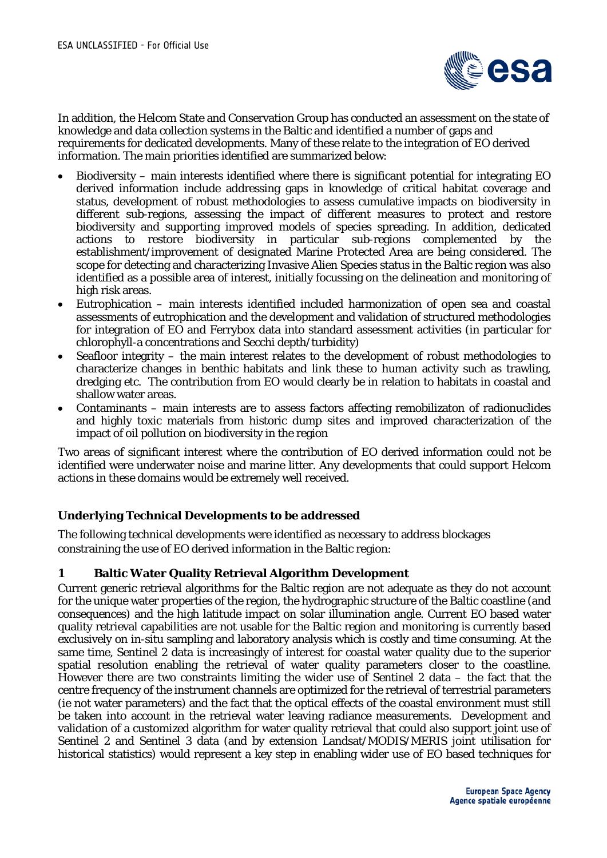

In addition, the Helcom State and Conservation Group has conducted an assessment on the state of knowledge and data collection systems in the Baltic and identified a number of gaps and requirements for dedicated developments. Many of these relate to the integration of EO derived information. The main priorities identified are summarized below:

- Biodiversity main interests identified where there is significant potential for integrating EO derived information include addressing gaps in knowledge of critical habitat coverage and status, development of robust methodologies to assess cumulative impacts on biodiversity in different sub-regions, assessing the impact of different measures to protect and restore biodiversity and supporting improved models of species spreading. In addition, dedicated actions to restore biodiversity in particular sub-regions complemented by the establishment/improvement of designated Marine Protected Area are being considered. The scope for detecting and characterizing Invasive Alien Species status in the Baltic region was also identified as a possible area of interest, initially focussing on the delineation and monitoring of high risk areas.
- Eutrophication main interests identified included harmonization of open sea and coastal assessments of eutrophication and the development and validation of structured methodologies for integration of EO and Ferrybox data into standard assessment activities (in particular for chlorophyll-a concentrations and Secchi depth/turbidity)
- Seafloor integrity the main interest relates to the development of robust methodologies to characterize changes in benthic habitats and link these to human activity such as trawling, dredging etc. The contribution from EO would clearly be in relation to habitats in coastal and shallow water areas.
- Contaminants main interests are to assess factors affecting remobilizaton of radionuclides and highly toxic materials from historic dump sites and improved characterization of the impact of oil pollution on biodiversity in the region

Two areas of significant interest where the contribution of EO derived information could not be identified were underwater noise and marine litter. Any developments that could support Helcom actions in these domains would be extremely well received.

# **Underlying Technical Developments to be addressed**

The following technical developments were identified as necessary to address blockages constraining the use of EO derived information in the Baltic region:

### **1 Baltic Water Quality Retrieval Algorithm Development**

Current generic retrieval algorithms for the Baltic region are not adequate as they do not account for the unique water properties of the region, the hydrographic structure of the Baltic coastline (and consequences) and the high latitude impact on solar illumination angle. Current EO based water quality retrieval capabilities are not usable for the Baltic region and monitoring is currently based exclusively on in-situ sampling and laboratory analysis which is costly and time consuming. At the same time, Sentinel 2 data is increasingly of interest for coastal water quality due to the superior spatial resolution enabling the retrieval of water quality parameters closer to the coastline. However there are two constraints limiting the wider use of Sentinel 2 data – the fact that the centre frequency of the instrument channels are optimized for the retrieval of terrestrial parameters (ie not water parameters) and the fact that the optical effects of the coastal environment must still be taken into account in the retrieval water leaving radiance measurements. Development and validation of a customized algorithm for water quality retrieval that could also support joint use of Sentinel 2 and Sentinel 3 data (and by extension Landsat/MODIS/MERIS joint utilisation for historical statistics) would represent a key step in enabling wider use of EO based techniques for